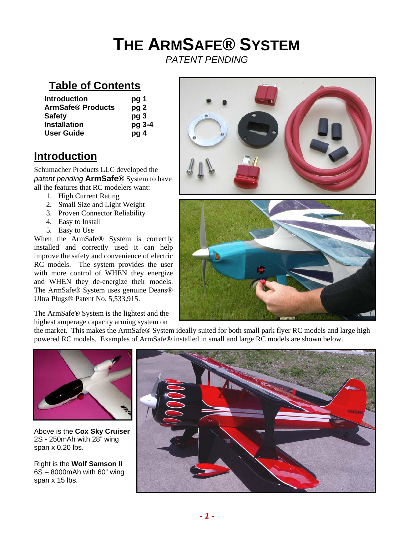# **THE ARMSAFE® SYSTEM**

*PATENT PENDING* 

# **Table of Contents**

| <b>Introduction</b>      | pg 1            |
|--------------------------|-----------------|
| <b>ArmSafe® Products</b> | pg <sub>2</sub> |
| <b>Safety</b>            | pg <sub>3</sub> |
| <b>Installation</b>      | pg 3-4          |
| <b>User Guide</b>        | pg 4            |

# **Introduction**

Schumacher Products LLC developed the *patent pending* **ArmSafe®** System to have all the features that RC modelers want:

- 1. High Current Rating
- 2. Small Size and Light Weight
- 3. Proven Connector Reliability
- 4. Easy to Install
- 5. Easy to Use

When the ArmSafe® System is correctly installed and correctly used it can help improve the safety and convenience of electric RC models. The system provides the user with more control of WHEN they energize and WHEN they de-energize their models. The ArmSafe® System uses genuine Deans® Ultra Plugs® Patent No. 5,533,915.

The ArmSafe® System is the lightest and the highest amperage capacity arming system on



the market. This makes the ArmSafe® System ideally suited for both small park flyer RC models and large high powered RC models. Examples of ArmSafe® installed in small and large RC models are shown below.



Above is the **Cox Sky Cruiser** 2S - 250mAh with 28" wing span x 0.20 lbs.

Right is the **Wolf Samson II** 6S – 8000mAh with 60" wing span x 15 lbs.

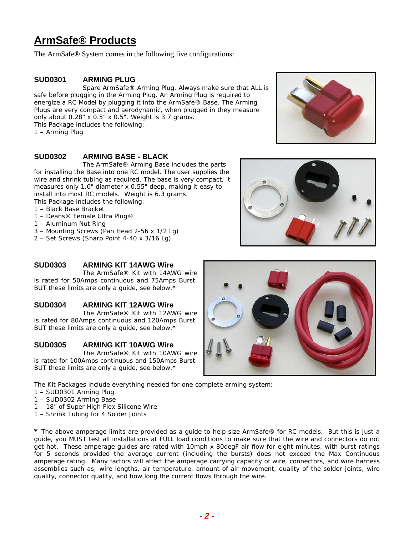## **ArmSafe® Products**

The ArmSafe® System comes in the following five configurations:

#### **SUD0301 ARMING PLUG**

Spare ArmSafe® Arming Plug. Always make sure that ALL is safe before plugging in the Arming Plug. An Arming Plug is required to energize a RC Model by plugging it into the ArmSafe® Base. The Arming Plugs are very compact and aerodynamic, when plugged in they measure only about 0.28" x 0.5" x 0.5". Weight is 3.7 grams. This Package includes the following:

1 – Arming Plug

#### **SUD0302 ARMING BASE - BLACK**

 The ArmSafe® Arming Base includes the parts for installing the Base into one RC model. The user supplies the wire and shrink tubing as required. The base is very compact, it measures only 1.0" diameter x 0.55" deep, making it easy to install into most RC models. Weight is 6.3 grams.

This Package includes the following:

- 1 Black Base Bracket
- 1 Deans® Female Ultra Plug®
- 1 Aluminum Nut Ring
- 3 Mounting Screws (Pan Head 2-56 x 1/2 Lg)
- 2 Set Screws (Sharp Point 4-40 x 3/16 Lg)

#### **SUD0303 ARMING KIT 14AWG Wire**

 The ArmSafe® Kit with 14AWG wire is rated for 50Amps continuous and 75Amps Burst. BUT these limits are only a guide, see below.**\***

#### **SUD0304 ARMING KIT 12AWG Wire**

 The ArmSafe® Kit with 12AWG wire is rated for 80Amps continuous and 120Amps Burst. BUT these limits are only a guide, see below.**\***

#### **SUD0305 ARMING KIT 10AWG Wire**

 The ArmSafe® Kit with 10AWG wire is rated for 100Amps continuous and 150Amps Burst. BUT these limits are only a guide, see below.**\***

The Kit Packages include everything needed for one complete arming system:

- 1 SUD0301 Arming Plug
- 1 SUD0302 Arming Base
- 1 18" of Super High Flex Silicone Wire
- 1 Shrink Tubing for 4 Solder Joints

**\*** The above amperage limits are provided as a guide to help size ArmSafe® for RC models. But this is just a guide, you MUST test all installations at FULL load conditions to make sure that the wire and connectors do not get hot. These amperage guides are rated with 10mph x 80degF air flow for eight minutes, with burst ratings for 5 seconds provided the average current (including the bursts) does not exceed the Max Continuous amperage rating. Many factors will affect the amperage carrying capacity of wire, connectors, and wire harness assemblies such as; wire lengths, air temperature, amount of air movement, quality of the solder joints, wire quality, connector quality, and how long the current flows through the wire.





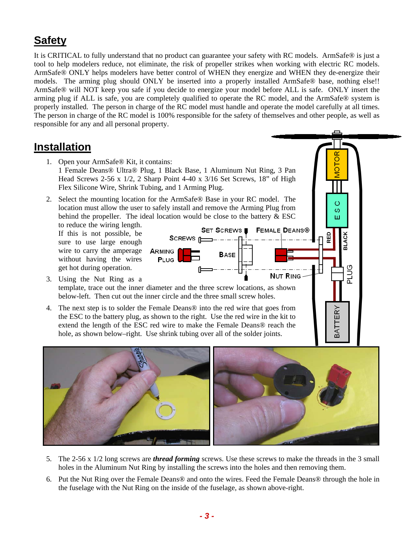# **Safety**

It is CRITICAL to fully understand that no product can guarantee your safety with RC models. ArmSafe® is just a tool to help modelers reduce, not eliminate, the risk of propeller strikes when working with electric RC models. ArmSafe® ONLY helps modelers have better control of WHEN they energize and WHEN they de-energize their models. The arming plug should ONLY be inserted into a properly installed ArmSafe® base, nothing else!! ArmSafe® will NOT keep you safe if you decide to energize your model before ALL is safe. ONLY insert the arming plug if ALL is safe, you are completely qualified to operate the RC model, and the ArmSafe® system is properly installed. The person in charge of the RC model must handle and operate the model carefully at all times. The person in charge of the RC model is 100% responsible for the safety of themselves and other people, as well as responsible for any and all personal property.

### **Installation**

- 1. Open your ArmSafe® Kit, it contains: 1 Female Deans® Ultra® Plug, 1 Black Base, 1 Aluminum Nut Ring, 3 Pan Head Screws 2-56 x 1/2, 2 Sharp Point 4-40 x 3/16 Set Screws, 18" of High Flex Silicone Wire, Shrink Tubing, and 1 Arming Plug.
- 2. Select the mounting location for the ArmSafe® Base in your RC model. The location must allow the user to safely install and remove the Arming Plug from behind the propeller. The ideal location would be close to the battery & ESC

to reduce the wiring length. If this is not possible, be sure to use large enough wire to carry the amperage without having the wires get hot during operation.



**BLACK** 

**DOT** 

ÊŔ

.<br>BA

Ō ပာ

- 3. Using the Nut Ring as a template, trace out the inner diameter and the three screw locations, as shown below-left. Then cut out the inner circle and the three small screw holes.
- 4. The next step is to solder the Female Deans® into the red wire that goes from the ESC to the battery plug, as shown to the right. Use the red wire in the kit to extend the length of the ESC red wire to make the Female Deans® reach the hole, as shown below–right. Use shrink tubing over all of the solder joints.



- 5. The 2-56 x 1/2 long screws are *thread forming* screws. Use these screws to make the threads in the 3 small holes in the Aluminum Nut Ring by installing the screws into the holes and then removing them.
- 6. Put the Nut Ring over the Female Deans® and onto the wires. Feed the Female Deans® through the hole in the fuselage with the Nut Ring on the inside of the fuselage, as shown above-right.